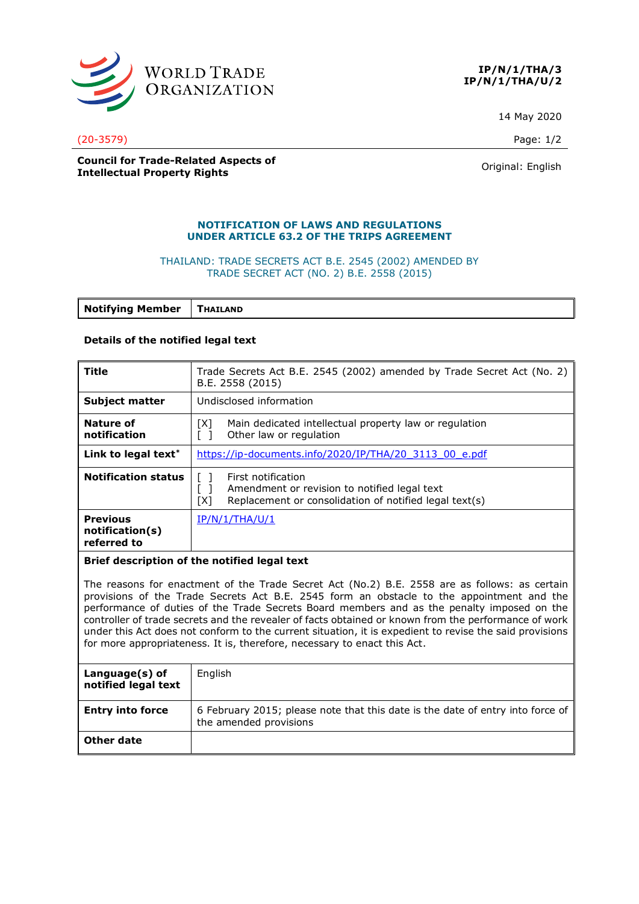



14 May 2020

(20-3579) Page: 1/2

**Council for Trade-Related Aspects of Intellectual Property Rights Community Rights** Original: English

## **NOTIFICATION OF LAWS AND REGULATIONS UNDER ARTICLE 63.2 OF THE TRIPS AGREEMENT**

# THAILAND: TRADE SECRETS ACT B.E. 2545 (2002) AMENDED BY TRADE SECRET ACT (NO. 2) B.E. 2558 (2015)

**Notifying Member THAILAND**

## **Details of the notified legal text**

| Title                                             | Trade Secrets Act B.E. 2545 (2002) amended by Trade Secret Act (No. 2)<br>B.E. 2558 (2015)                                          |
|---------------------------------------------------|-------------------------------------------------------------------------------------------------------------------------------------|
| <b>Subject matter</b>                             | Undisclosed information                                                                                                             |
| Nature of<br>notification                         | Main dedicated intellectual property law or regulation<br>[X]<br>Other law or regulation                                            |
| Link to legal text*                               | https://ip-documents.info/2020/IP/THA/20 3113 00 e.pdf                                                                              |
| <b>Notification status</b>                        | First notification<br>Amendment or revision to notified legal text<br>Replacement or consolidation of notified legal text(s)<br>ואז |
| <b>Previous</b><br>notification(s)<br>referred to | IP/N/1/THA/U/1                                                                                                                      |

#### **Brief description of the notified legal text**

The reasons for enactment of the Trade Secret Act (No.2) B.E. 2558 are as follows: as certain provisions of the Trade Secrets Act B.E. 2545 form an obstacle to the appointment and the performance of duties of the Trade Secrets Board members and as the penalty imposed on the controller of trade secrets and the revealer of facts obtained or known from the performance of work under this Act does not conform to the current situation, it is expedient to revise the said provisions for more appropriateness. It is, therefore, necessary to enact this Act.

| Language(s) of<br>notified legal text | English                                                                                                  |
|---------------------------------------|----------------------------------------------------------------------------------------------------------|
| <b>Entry into force</b>               | 6 February 2015; please note that this date is the date of entry into force of<br>the amended provisions |
| Other date                            |                                                                                                          |